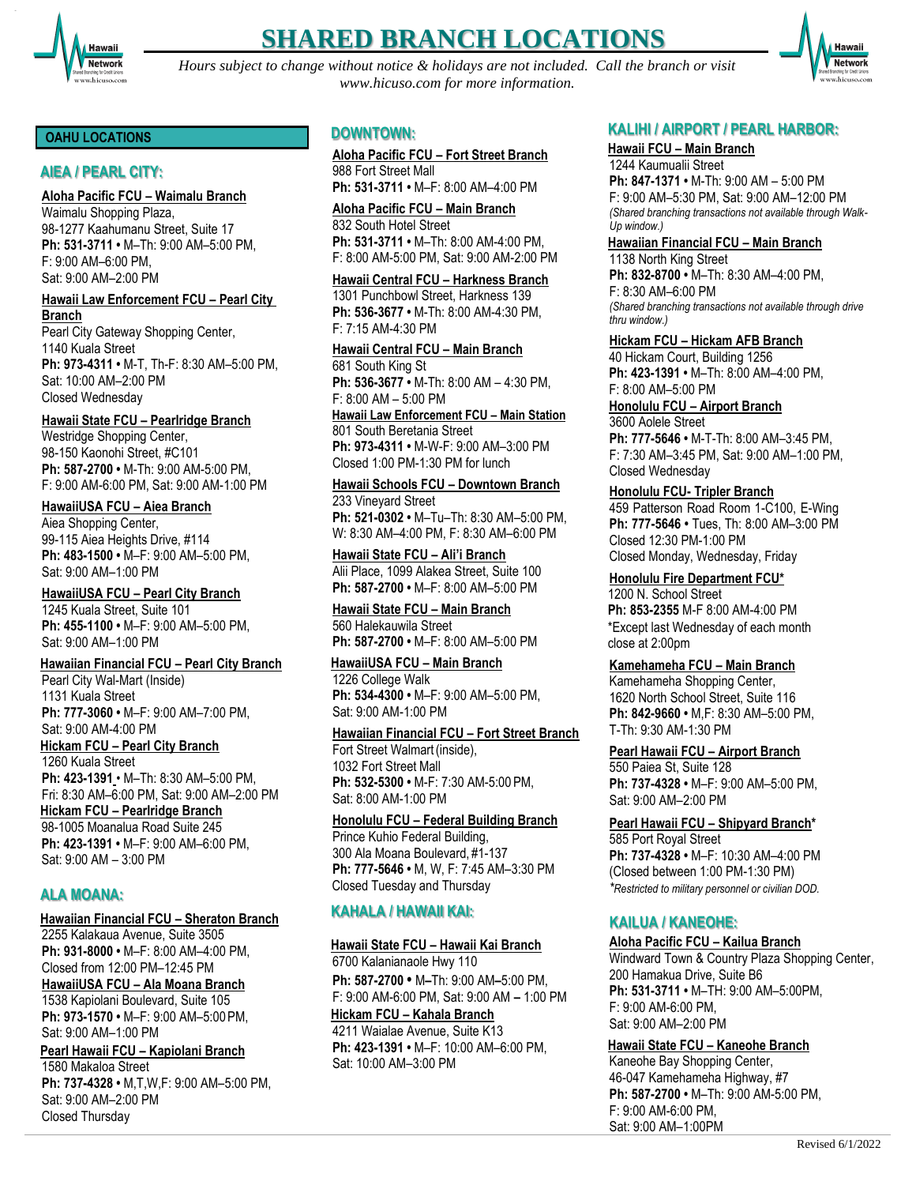

# **SHARED BRANCH LOCATIONS**

*Hours subject to change without notice & holidays are not included. Call the branch or visit [www.hicuso.com f](http://www.hicuso.com/)or more information.*



#### **OAHU LOCATIONS**

# **AIEA / PEARL CITY:**

#### **Aloha Pacific FCU – Waimalu Branch**

Waimalu Shopping Plaza, 98-1277 Kaahumanu Street, Suite 17 **Ph: 531-3711 •** M–Th: 9:00 AM–5:00 PM, F: 9:00 AM–6:00 PM, Sat: 9:00 AM–2:00 PM

#### **Hawaii Law Enforcement FCU – Pearl City Branch**

Pearl City Gateway Shopping Center, 1140 Kuala Street **Ph: 973-4311 •** M-T, Th-F: 8:30 AM–5:00 PM, Sat: 10:00 AM–2:00 PM Closed Wednesday

#### **Hawaii State FCU – Pearlridge Branch**

Westridge Shopping Center, 98-150 Kaonohi Street, #C101 **Ph: 587-2700 •** M-Th: 9:00 AM-5:00 PM, F: 9:00 AM-6:00 PM, Sat: 9:00 AM-1:00 PM

#### **HawaiiUSA FCU – Aiea Branch**

Aiea Shopping Center, 99-115 Aiea Heights Drive, #114 **Ph: 483-1500 •** M–F: 9:00 AM–5:00 PM, Sat: 9:00 AM–1:00 PM

# **HawaiiUSA FCU – Pearl City Branch**

1245 Kuala Street, Suite 101 **Ph: 455-1100 •** M–F: 9:00 AM–5:00 PM, Sat: 9:00 AM–1:00 PM

#### **Hawaiian Financial FCU – Pearl City Branch**

Pearl City Wal-Mart (Inside) 1131 Kuala Street **Ph: 777-3060 •** M–F: 9:00 AM–7:00 PM, Sat: 9:00 AM-4:00 PM **Hickam FCU – Pearl City Branch** 1260 Kuala Street **Ph: 423-1391** • M–Th: 8:30 AM–5:00 PM, Fri: 8:30 AM–6:00 PM, Sat: 9:00 AM–2:00 PM **Hickam FCU – Pearlridge Branch** 98-1005 Moanalua Road Suite 245 **Ph: 423-1391 •** M–F: 9:00 AM–6:00 PM, Sat: 9:00 AM – 3:00 PM

# **ALA MOANA:**

Closed Thursday

## **Hawaiian Financial FCU – Sheraton Branch**

2255 Kalakaua Avenue, Suite 3505 **Ph: 931-8000 •** M–F: 8:00 AM–4:00 PM, Closed from 12:00 PM–12:45 PM **HawaiiUSA FCU – Ala Moana Branch**  1538 Kapiolani Boulevard, Suite 105 **Ph: 973-1570 •** M–F: 9:00 AM–5:00PM, Sat: 9:00 AM–1:00 PM **Pearl Hawaii FCU – Kapiolani Branch** 1580 Makaloa Street **Ph: 737-4328 •** M,T,W,F: 9:00 AM–5:00 PM, Sat: 9:00 AM–2:00 PM

# **DOWNTOWN:**

**Aloha Pacific FCU – Fort Street Branch** 988 Fort Street Mall **Ph: 531-3711 •** M–F: 8:00 AM–4:00 PM

**Aloha Pacific FCU – Main Branch** 832 South Hotel Street **Ph: 531-3711 •** M–Th: 8:00 AM-4:00 PM, F: 8:00 AM-5:00 PM, Sat: 9:00 AM-2:00 PM

#### **Hawaii Central FCU – Harkness Branch**

1301 Punchbowl Street, Harkness 139 **Ph: 536-3677 •** M-Th: 8:00 AM-4:30 PM, F: 7:15 AM-4:30 PM

# **Hawaii Central FCU – Main Branch**

681 South King St **Ph: 536-3677 •** M-Th: 8:00 AM – 4:30 PM, F: 8:00 AM – 5:00 PM **Hawaii Law Enforcement FCU – Main Station**

801 South Beretania Street **Ph: 973-4311 •** M-W-F: 9:00 AM–3:00 PM Closed 1:00 PM-1:30 PM for lunch

# **Hawaii Schools FCU – Downtown Branch**

233 Vineyard Street **Ph: 521-0302 •** M–Tu–Th: 8:30 AM–5:00 PM, W: 8:30 AM–4:00 PM, F: 8:30 AM–6:00 PM

**Hawaii State FCU – Ali'i Branch** Alii Place, 1099 Alakea Street, Suite 100 **Ph: 587-2700 •** M–F: 8:00 AM–5:00 PM

**Hawaii State FCU – Main Branch** 560 Halekauwila Street **Ph: 587-2700 •** M–F: 8:00 AM–5:00 PM

#### **HawaiiUSA FCU – Main Branch** 1226 College Walk **Ph: 534-4300 •** M–F: 9:00 AM–5:00 PM, Sat: 9:00 AM-1:00 PM

# **Hawaiian Financial FCU – Fort Street Branch**

Fort Street Walmart(inside), 1032 Fort Street Mall **Ph: 532-5300 •** M-F: 7:30 AM-5:00 PM, Sat: 8:00 AM-1:00 PM

## **Honolulu FCU – Federal Building Branch**

Prince Kuhio Federal Building, 300 Ala Moana Boulevard, #1-137 **Ph: 777-5646 •** M, W, F: 7:45 AM–3:30 PM Closed Tuesday and Thursday

# **KAHALA / HAWAII KAI:**

## **Hawaii State FCU – Hawaii Kai Branch**

6700 Kalanianaole Hwy 110 **Ph: 587-2700 •** M**–**Th: 9:00 AM**–**5:00 PM, F: 9:00 AM-6:00 PM, Sat: 9:00 AM **–** 1:00 PM **Hickam FCU – Kahala Branch**

4211 Waialae Avenue, Suite K13 **Ph: 423-1391 •** M–F: 10:00 AM–6:00 PM, Sat: 10:00 AM–3:00 PM

# **KALIHI / AIRPORT / PEARL HARBOR:**

#### **Hawaii FCU – Main Branch** 1244 Kaumualii Street

**Ph: 847-1371 •** M-Th: 9:00 AM – 5:00 PM F: 9:00 AM–5:30 PM, Sat: 9:00 AM–12:00 PM *(Shared branching transactions not available through Walk-Up window.)*

# **Hawaiian Financial FCU – Main Branch**

1138 North King Street **Ph: 832-8700 •** M–Th: 8:30 AM–4:00 PM, F: 8:30 AM–6:00 PM *(Shared branching transactions not available through drive thru window.)*

#### **Hickam FCU – Hickam AFB Branch**

40 Hickam Court, Building 1256 **Ph: 423-1391 •** M–Th: 8:00 AM–4:00 PM, F: 8:00 AM–5:00 PM

#### **Honolulu FCU – Airport Branch** 3600 Aolele Street

**Ph: 777-5646 •** M-T-Th: 8:00 AM–3:45 PM, F: 7:30 AM–3:45 PM, Sat: 9:00 AM–1:00 PM, Closed Wednesday

# **Honolulu FCU- Tripler Branch**

459 Patterson Road Room 1-C100, E-Wing **Ph: 777-5646 •** Tues, Th: 8:00 AM–3:00 PM Closed 12:30 PM-1:00 PM Closed Monday, Wednesday, Friday

#### **Honolulu Fire Department FCU\***

1200 N. School Street **Ph: 853-2355** M-F 8:00 AM-4:00 PM \*Except last Wednesday of each month close at 2:00pm

# **Kamehameha FCU – Main Branch**

Kamehameha Shopping Center, 1620 North School Street, Suite 116 **Ph: 842-9660 •** M,F: 8:30 AM–5:00 PM, T-Th: 9:30 AM-1:30 PM

# **Pearl Hawaii FCU – Airport Branch**

550 Paiea St, Suite 128 **Ph: 737-4328 •** M–F: 9:00 AM–5:00 PM, Sat: 9:00 AM–2:00 PM

# **Pearl Hawaii FCU – Shipyard Branch\***

585 Port Royal Street **Ph: 737-4328 •** M–F: 10:30 AM–4:00 PM (Closed between 1:00 PM-1:30 PM) *\*Restricted to military personnel or civilian DOD.*

# **KAILUA / KANEOHE:**

# **Aloha Pacific FCU – Kailua Branch**

Windward Town & Country Plaza Shopping Center, 200 Hamakua Drive, Suite B6 **Ph: 531-3711 •** M–TH: 9:00 AM–5:00PM, F: 9:00 AM-6:00 PM, Sat: 9:00 AM–2:00 PM

**Hawaii State FCU – Kaneohe Branch**

Kaneohe Bay Shopping Center, 46-047 Kamehameha Highway, #7 **Ph: 587-2700 •** M–Th: 9:00 AM-5:00 PM, F: 9:00 AM-6:00 PM, Sat: 9:00 AM–1:00PM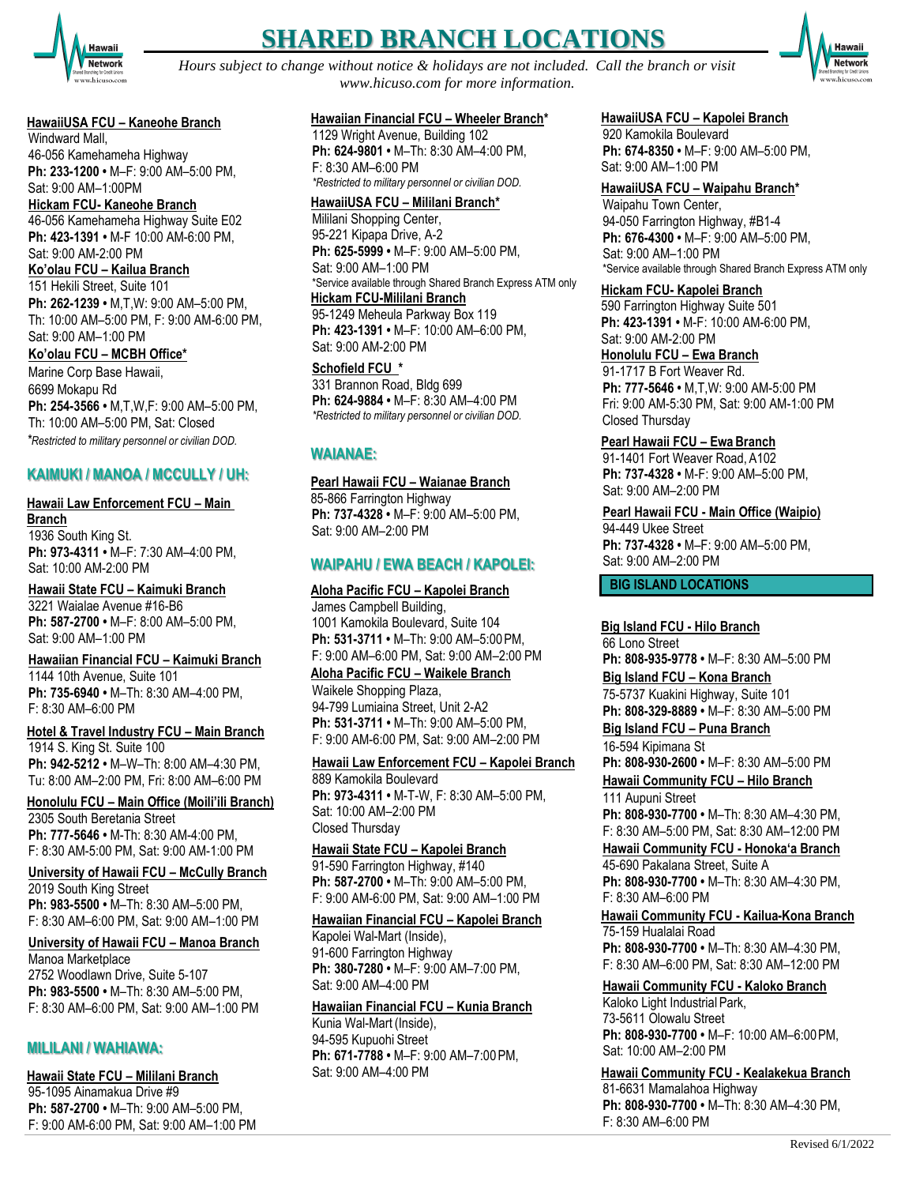

# **SHARED BRANCH LOCATIONS**

*Hours subject to change without notice & holidays are not included. Call the branch or visit [www.hicuso.com f](http://www.hicuso.com/)or more information.*



## **HawaiiUSA FCU – Kaneohe Branch**

Windward Mall, 46-056 Kamehameha Highway **Ph: 233-1200 •** M–F: 9:00 AM–5:00 PM, Sat: 9:00 AM–1:00PM

**Hickam FCU- Kaneohe Branch** 46-056 Kamehameha Highway Suite E02 **Ph: 423-1391 •** M-F 10:00 AM-6:00 PM, Sat: 9:00 AM-2:00 PM **Ko'olau FCU – Kailua Branch** 151 Hekili Street, Suite 101

**Ph: 262-1239 •** M,T,W: 9:00 AM–5:00 PM, Th: 10:00 AM–5:00 PM, F: 9:00 AM-6:00 PM, Sat: 9:00 AM–1:00 PM

**Ko'olau FCU – MCBH Office\***

Marine Corp Base Hawaii, 6699 Mokapu Rd **Ph: 254-3566 •** M,T,W,F: 9:00 AM–5:00 PM, Th: 10:00 AM–5:00 PM, Sat: Closed *\*Restricted to military personnel or civilian DOD.*

# **KAIMUKI / MANOA / MCCULLY / UH:**

# **Hawaii Law Enforcement FCU – Main Branch**

1936 South King St. **Ph: 973-4311 •** M–F: 7:30 AM–4:00 PM, Sat: 10:00 AM-2:00 PM

**Hawaii State FCU – Kaimuki Branch** 3221 Waialae Avenue #16-B6 **Ph: 587-2700 •** M–F: 8:00 AM–5:00 PM, Sat: 9:00 AM–1:00 PM

**Hawaiian Financial FCU – Kaimuki Branch** 1144 10th Avenue, Suite 101 **Ph: 735-6940 •** M–Th: 8:30 AM–4:00 PM, F: 8:30 AM–6:00 PM

**Hotel & Travel Industry FCU – Main Branch** 1914 S. King St. Suite 100 **Ph: 942-5212 •** M–W–Th: 8:00 AM–4:30 PM, Tu: 8:00 AM–2:00 PM, Fri: 8:00 AM–6:00 PM

**Honolulu FCU – Main Office (Moili'ili Branch)** 2305 South Beretania Street **Ph: 777-5646 •** M-Th: 8:30 AM-4:00 PM, F: 8:30 AM-5:00 PM, Sat: 9:00 AM-1:00 PM

**University of Hawaii FCU – McCully Branch** 2019 South King Street **Ph: 983-5500 •** M–Th: 8:30 AM–5:00 PM, F: 8:30 AM–6:00 PM, Sat: 9:00 AM–1:00 PM

**University of Hawaii FCU – Manoa Branch** Manoa Marketplace 2752 Woodlawn Drive, Suite 5-107 **Ph: 983-5500 •** M–Th: 8:30 AM–5:00 PM, F: 8:30 AM–6:00 PM, Sat: 9:00 AM–1:00 PM

# **MILILANI / WAHIAWA:**

**Hawaii State FCU – Mililani Branch** 95-1095 Ainamakua Drive #9 **Ph: 587-2700 •** M–Th: 9:00 AM–5:00 PM, F: 9:00 AM-6:00 PM, Sat: 9:00 AM–1:00 PM

#### **Hawaiian Financial FCU – Wheeler Branch\***

1129 Wright Avenue, Building 102 **Ph: 624-9801 •** M–Th: 8:30 AM–4:00 PM, F: 8:30 AM–6:00 PM *\*Restricted to military personnel or civilian DOD.*

#### **HawaiiUSA FCU – Mililani Branch\***

Mililani Shopping Center, 95-221 Kipapa Drive, A-2 **Ph: 625-5999 •** M–F: 9:00 AM–5:00 PM, Sat: 9:00 AM–1:00 PM \*Service available through Shared Branch Express ATM only **Hickam FCU-Mililani Branch** 95-1249 Meheula Parkway Box 119 **Ph: 423-1391 •** M–F: 10:00 AM–6:00 PM, Sat: 9:00 AM-2:00 PM

**Schofield FCU \*** 331 Brannon Road, Bldg 699 **Ph: 624-9884 •** M–F: 8:30 AM–4:00 PM *\*Restricted to military personnel or civilian DOD.*

# **WAIANAE:**

#### **Pearl Hawaii FCU – Waianae Branch**

85-866 Farrington Highway **Ph: 737-4328 •** M–F: 9:00 AM–5:00 PM, Sat: 9:00 AM–2:00 PM

## **WAIPAHU / EWA BEACH / KAPOLEI:**

**Aloha Pacific FCU – Kapolei Branch** James Campbell Building, 1001 Kamokila Boulevard, Suite 104 **Ph: 531-3711 •** M–Th: 9:00 AM–5:00PM, F: 9:00 AM–6:00 PM, Sat: 9:00 AM–2:00 PM **Aloha Pacific FCU – Waikele Branch**

Waikele Shopping Plaza, 94-799 Lumiaina Street, Unit 2-A2 **Ph: 531-3711 •** M–Th: 9:00 AM–5:00 PM, F: 9:00 AM-6:00 PM, Sat: 9:00 AM–2:00 PM

**Hawaii Law Enforcement FCU – Kapolei Branch** 889 Kamokila Boulevard **Ph: 973-4311 •** M-T-W, F: 8:30 AM–5:00 PM, Sat: 10:00 AM–2:00 PM Closed Thursday

**Hawaii State FCU – Kapolei Branch** 91-590 Farrington Highway, #140 **Ph: 587-2700 •** M–Th: 9:00 AM–5:00 PM, F: 9:00 AM-6:00 PM, Sat: 9:00 AM–1:00 PM

#### **Hawaiian Financial FCU – Kapolei Branch**

Kapolei Wal-Mart (Inside), 91-600 Farrington Highway **Ph: 380-7280 •** M–F: 9:00 AM–7:00 PM, Sat: 9:00 AM–4:00 PM

## **Hawaiian Financial FCU – Kunia Branch**

Kunia Wal-Mart (Inside), 94-595 Kupuohi Street **Ph: 671-7788 •** M–F: 9:00 AM–7:00PM, Sat: 9:00 AM–4:00 PM

#### **HawaiiUSA FCU – Kapolei Branch**

920 Kamokila Boulevard **Ph: 674-8350 •** M–F: 9:00 AM–5:00 PM, Sat: 9:00 AM–1:00 PM

#### **HawaiiUSA FCU – Waipahu Branch\***

Waipahu Town Center, 94-050 Farrington Highway, #B1-4 **Ph: 676-4300 •** M–F: 9:00 AM–5:00 PM, Sat: 9:00 AM–1:00 PM \*Service available through Shared Branch Express ATM only

#### **Hickam FCU- Kapolei Branch**

590 Farrington Highway Suite 501 **Ph: 423-1391 •** M-F: 10:00 AM-6:00 PM, Sat: 9:00 AM-2:00 PM

**Honolulu FCU – Ewa Branch** 91-1717 B Fort Weaver Rd. **Ph: 777-5646 •** M,T,W: 9:00 AM-5:00 PM Fri: 9:00 AM-5:30 PM, Sat: 9:00 AM-1:00 PM Closed Thursday

#### **Pearl Hawaii FCU – Ewa Branch**

91-1401 Fort Weaver Road, A102 **Ph: 737-4328 •** M-F: 9:00 AM–5:00 PM, Sat: 9:00 AM–2:00 PM

**Pearl Hawaii FCU - Main Office (Waipio)** 94-449 Ukee Street **Ph: 737-4328 •** M–F: 9:00 AM–5:00 PM,

Sat: 9:00 AM–2:00 PM

**BIG ISLAND LOCATIONS** 

## **Big Island FCU - Hilo Branch**

66 Lono Street **Ph: 808-935-9778 •** M–F: 8:30 AM–5:00 PM **Big Island FCU – Kona Branch** 75-5737 Kuakini Highway, Suite 101 **Ph: 808-329-8889 •** M–F: 8:30 AM–5:00 PM

**Big Island FCU – Puna Branch**

16-594 Kipimana St **Ph: 808-930-2600 •** M–F: 8:30 AM–5:00 PM **Hawaii Community FCU – Hilo Branch**

111 Aupuni Street **Ph: 808-930-7700 •** M–Th: 8:30 AM–4:30 PM, F: 8:30 AM–5:00 PM, Sat: 8:30 AM–12:00 PM

#### **Hawaii Community FCU - Honoka'a Branch** 45-690 Pakalana Street, Suite A

**Ph: 808-930-7700 •** M–Th: 8:30 AM–4:30 PM, F: 8:30 AM–6:00 PM

**Hawaii Community FCU - Kailua-Kona Branch** 75-159 Hualalai Road **Ph: 808-930-7700 •** M–Th: 8:30 AM–4:30 PM,

F: 8:30 AM–6:00 PM, Sat: 8:30 AM–12:00 PM

**Hawaii Community FCU - Kaloko Branch** Kaloko Light Industrial Park, 73-5611 Olowalu Street **Ph: 808-930-7700 •** M–F: 10:00 AM–6:00PM, Sat: 10:00 AM–2:00 PM

**Hawaii Community FCU - Kealakekua Branch** 81-6631 Mamalahoa Highway **Ph: 808-930-7700 •** M–Th: 8:30 AM–4:30 PM, F: 8:30 AM–6:00 PM